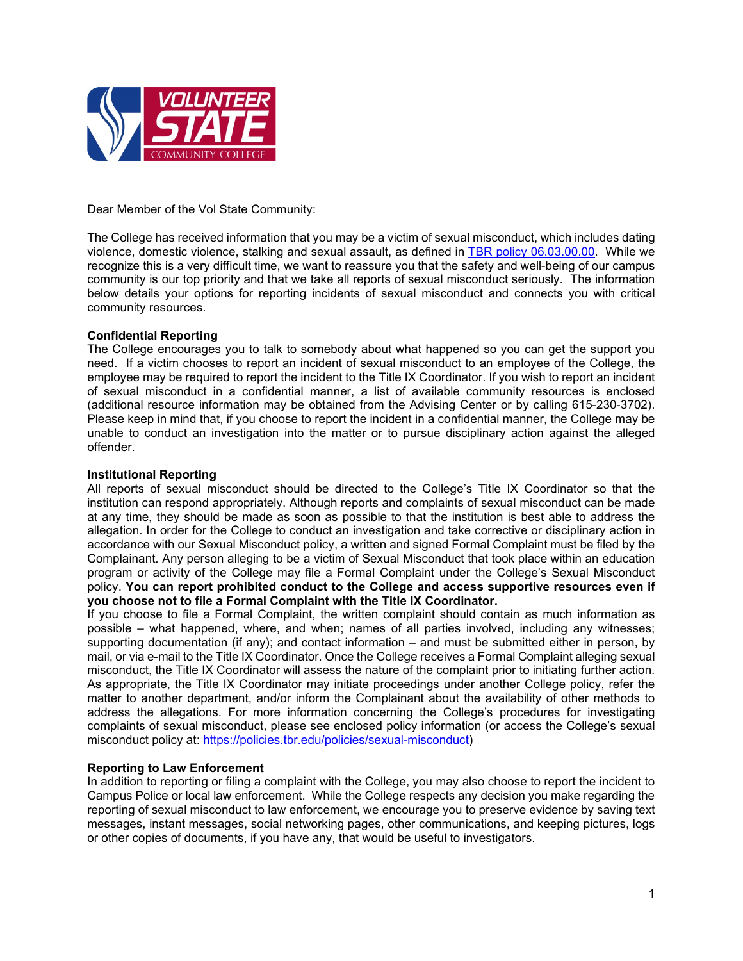

Dear Member of the Vol State Community:

The College has received information that you may be a victim of sexual misconduct, which includes dating violence, domestic violence, stalking and sexual assault, as defined in [TBR policy 06.03.00.00.](https://policies.tbr.edu/policies/sexual-misconduct) While we recognize this is a very difficult time, we want to reassure you that the safety and well-being of our campus community is our top priority and that we take all reports of sexual misconduct seriously. The information below details your options for reporting incidents of sexual misconduct and connects you with critical community resources.

## **Confidential Reporting**

The College encourages you to talk to somebody about what happened so you can get the support you need. If a victim chooses to report an incident of sexual misconduct to an employee of the College, the employee may be required to report the incident to the Title IX Coordinator. If you wish to report an incident of sexual misconduct in a confidential manner, a list of available community resources is enclosed (additional resource information may be obtained from the Advising Center or by calling 615-230-3702). Please keep in mind that, if you choose to report the incident in a confidential manner, the College may be unable to conduct an investigation into the matter or to pursue disciplinary action against the alleged offender.

## **Institutional Reporting**

All reports of sexual misconduct should be directed to the College's Title IX Coordinator so that the institution can respond appropriately. Although reports and complaints of sexual misconduct can be made at any time, they should be made as soon as possible to that the institution is best able to address the allegation. In order for the College to conduct an investigation and take corrective or disciplinary action in accordance with our Sexual Misconduct policy, a written and signed Formal Complaint must be filed by the Complainant. Any person alleging to be a victim of Sexual Misconduct that took place within an education program or activity of the College may file a Formal Complaint under the College's Sexual Misconduct policy. **You can report prohibited conduct to the College and access supportive resources even if you choose not to file a Formal Complaint with the Title IX Coordinator.**

If you choose to file a Formal Complaint, the written complaint should contain as much information as possible – what happened, where, and when; names of all parties involved, including any witnesses; supporting documentation (if any); and contact information – and must be submitted either in person, by mail, or via e-mail to the Title IX Coordinator. Once the College receives a Formal Complaint alleging sexual misconduct, the Title IX Coordinator will assess the nature of the complaint prior to initiating further action. As appropriate, the Title IX Coordinator may initiate proceedings under another College policy, refer the matter to another department, and/or inform the Complainant about the availability of other methods to address the allegations. For more information concerning the College's procedures for investigating complaints of sexual misconduct, please see enclosed policy information (or access the College's sexual misconduct policy at: [https://policies.tbr.edu/policies/sexual-misconduct\)](https://policies.tbr.edu/policies/sexual-misconduct)

## **Reporting to Law Enforcement**

In addition to reporting or filing a complaint with the College, you may also choose to report the incident to Campus Police or local law enforcement. While the College respects any decision you make regarding the reporting of sexual misconduct to law enforcement, we encourage you to preserve evidence by saving text messages, instant messages, social networking pages, other communications, and keeping pictures, logs or other copies of documents, if you have any, that would be useful to investigators.